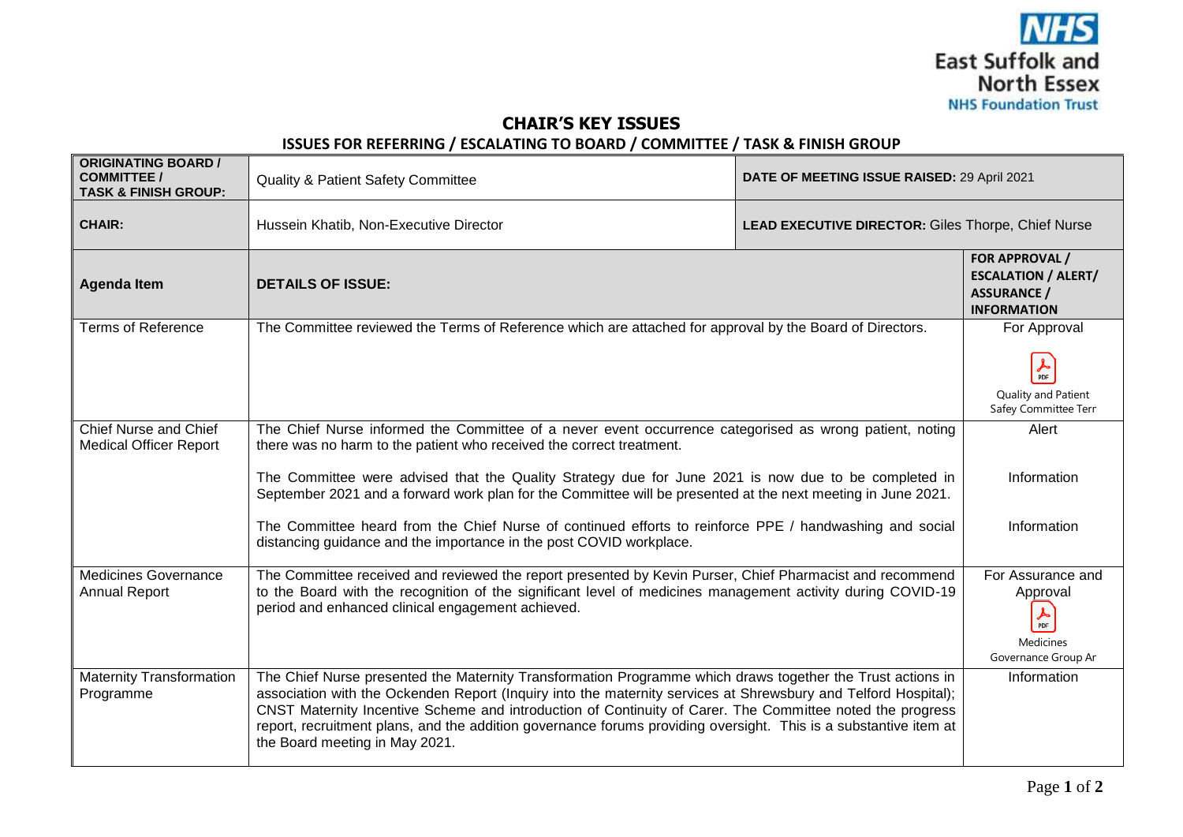

## **CHAIR'S KEY ISSUES**

## **ISSUES FOR REFERRING / ESCALATING TO BOARD / COMMITTEE / TASK & FINISH GROUP**

| <b>ORIGINATING BOARD /</b><br><b>COMMITTEE /</b><br><b>TASK &amp; FINISH GROUP:</b> | <b>Quality &amp; Patient Safety Committee</b>                                                                                                                                                                                                                                                                                                                                                                                                                                                                                                                                             | DATE OF MEETING ISSUE RAISED: 29 April 2021        |                                                                                             |
|-------------------------------------------------------------------------------------|-------------------------------------------------------------------------------------------------------------------------------------------------------------------------------------------------------------------------------------------------------------------------------------------------------------------------------------------------------------------------------------------------------------------------------------------------------------------------------------------------------------------------------------------------------------------------------------------|----------------------------------------------------|---------------------------------------------------------------------------------------------|
| <b>CHAIR:</b>                                                                       | Hussein Khatib, Non-Executive Director                                                                                                                                                                                                                                                                                                                                                                                                                                                                                                                                                    | LEAD EXECUTIVE DIRECTOR: Giles Thorpe, Chief Nurse |                                                                                             |
| <b>Agenda Item</b>                                                                  | <b>DETAILS OF ISSUE:</b>                                                                                                                                                                                                                                                                                                                                                                                                                                                                                                                                                                  |                                                    | FOR APPROVAL /<br><b>ESCALATION / ALERT/</b><br><b>ASSURANCE /</b><br><b>INFORMATION</b>    |
| <b>Terms of Reference</b>                                                           | The Committee reviewed the Terms of Reference which are attached for approval by the Board of Directors.                                                                                                                                                                                                                                                                                                                                                                                                                                                                                  |                                                    | For Approval<br>$\frac{1}{\text{PDF}}$<br>Quality and Patient<br>Safey Committee Terr       |
| Chief Nurse and Chief<br><b>Medical Officer Report</b>                              | The Chief Nurse informed the Committee of a never event occurrence categorised as wrong patient, noting<br>there was no harm to the patient who received the correct treatment.<br>The Committee were advised that the Quality Strategy due for June 2021 is now due to be completed in<br>September 2021 and a forward work plan for the Committee will be presented at the next meeting in June 2021.<br>The Committee heard from the Chief Nurse of continued efforts to reinforce PPE / handwashing and social<br>distancing guidance and the importance in the post COVID workplace. |                                                    | Alert<br>Information<br>Information                                                         |
| <b>Medicines Governance</b><br><b>Annual Report</b>                                 | The Committee received and reviewed the report presented by Kevin Purser, Chief Pharmacist and recommend<br>to the Board with the recognition of the significant level of medicines management activity during COVID-19<br>period and enhanced clinical engagement achieved.                                                                                                                                                                                                                                                                                                              |                                                    | For Assurance and<br>Approval<br>$\frac{1}{\text{PDF}}$<br>Medicines<br>Governance Group Ar |
| <b>Maternity Transformation</b><br>Programme                                        | The Chief Nurse presented the Maternity Transformation Programme which draws together the Trust actions in<br>association with the Ockenden Report (Inquiry into the maternity services at Shrewsbury and Telford Hospital);<br>CNST Maternity Incentive Scheme and introduction of Continuity of Carer. The Committee noted the progress<br>report, recruitment plans, and the addition governance forums providing oversight. This is a substantive item at<br>the Board meeting in May 2021.                                                                                           |                                                    | Information                                                                                 |